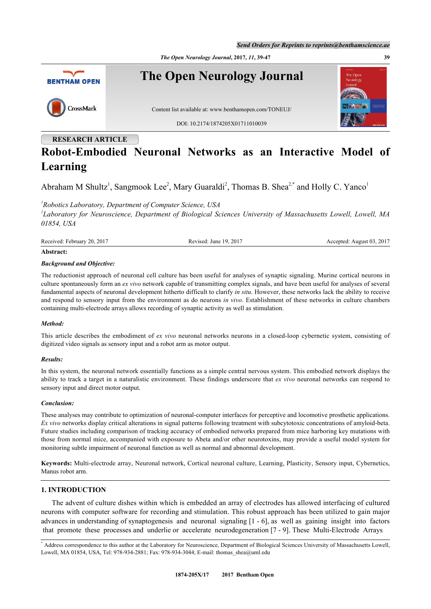*The Open Neurology Journal***, 2017,** *11***, 39-47 39**



# **RESEARCH ARTICLE Robot-Embodied Neuronal Networks as an Interactive Model of Learning**

Abraham M Shultz<sup>[1](#page-0-0)</sup>, Sangmook Lee<sup>[2](#page-0-1)</sup>, Mary Guaraldi<sup>2</sup>, Thomas B. Shea<sup>2,[\\*](#page-0-2)</sup> and Holly C. Yanco<sup>1</sup>

<span id="page-0-0"></span>*1 Robotics Laboratory, Department of Computer Science, USA*

<span id="page-0-1"></span>*2 Laboratory for Neuroscience, Department of Biological Sciences University of Massachusetts Lowell, Lowell, MA 01854, USA*

Received: February 20, 2017 Revised: June 19, 2017 Accepted: August 03, 2017

# **Abstract:**

#### *Background and Objective:*

The reductionist approach of neuronal cell culture has been useful for analyses of synaptic signaling. Murine cortical neurons in culture spontaneously form an *ex vivo* network capable of transmitting complex signals, and have been useful for analyses of several fundamental aspects of neuronal development hitherto difficult to clarify *in situ*. However, these networks lack the ability to receive and respond to sensory input from the environment as do neurons *in vivo*. Establishment of these networks in culture chambers containing multi-electrode arrays allows recording of synaptic activity as well as stimulation.

#### *Method:*

This article describes the embodiment of *ex vivo* neuronal networks neurons in a closed-loop cybernetic system, consisting of digitized video signals as sensory input and a robot arm as motor output.

#### *Results:*

In this system, the neuronal network essentially functions as a simple central nervous system. This embodied network displays the ability to track a target in a naturalistic environment. These findings underscore that *ex vivo* neuronal networks can respond to sensory input and direct motor output.

#### *Conclusion:*

These analyses may contribute to optimization of neuronal-computer interfaces for perceptive and locomotive prosthetic applications. *Ex vivo* networks display critical alterations in signal patterns following treatment with subcytotoxic concentrations of amyloid-beta. Future studies including comparison of tracking accuracy of embodied networks prepared from mice harboring key mutations with those from normal mice, accompanied with exposure to Abeta and/or other neurotoxins, may provide a useful model system for monitoring subtle impairment of neuronal function as well as normal and abnormal development.

**Keywords:** Multi-electrode array, Neuronal network, Cortical neuronal culture, Learning, Plasticity, Sensory input, Cybernetics, Manus robot arm.

## **1. INTRODUCTION**

The advent of culture dishes within which is embedded an array of electrodes has allowed interfacing of cultured neurons with computer software for recording and stimulation. This robust approach has been utilized to gain major advances in understanding of synaptogenesis and neuronal signaling [\[1](#page-6-0) - [6](#page-6-1)], as well as gaining insight into factors that promote these processes and underlie or accelerate neurodegeneration [\[7](#page-6-2) - [9](#page-7-0)]. These Multi-Electrode Arrays

<span id="page-0-2"></span><sup>\*</sup> Address correspondence to this author at the Laboratory for Neuroscience, Department of Biological Sciences University of Massachusetts Lowell, Lowell, MA 01854, USA, Tel: 978-934-2881; Fax: 978-934-3044; E-mail: [thomas\\_shea@uml.edu](mailto:thomas_shea@uml.edu)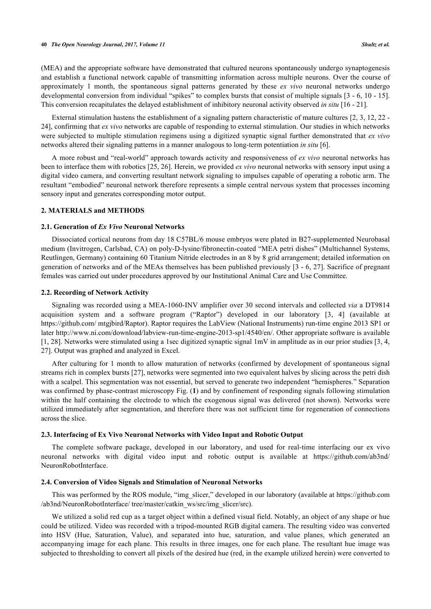(MEA) and the appropriate software have demonstrated that cultured neurons spontaneously undergo synaptogenesis and establish a functional network capable of transmitting information across multiple neurons. Over the course of approximately 1 month, the spontaneous signal patterns generated by these *ex vivo* neuronal networks undergo developmental conversion from individual "spikes" to complex bursts that consist of multiple signals [[3](#page-6-3) - [6,](#page-6-1) [10](#page-7-1) - [15\]](#page-7-2). This conversion recapitulates the delayed establishment of inhibitory neuronal activity observed *in situ* [\[16](#page-7-3) - [21](#page-7-4)].

External stimulation hastens the establishment of a signaling pattern characteristic of mature cultures [[2,](#page-6-4) [3](#page-6-3), [12](#page-7-5), [22](#page-7-6) - [24\]](#page-7-7), confirming that *ex vivo* networks are capable of responding to external stimulation. Our studies in which networks were subjected to multiple stimulation regimens using a digitized synaptic signal further demonstrated that *ex vivo* networks altered their signaling patterns in a manner analogous to long-term potentiation *in situ* [[6\]](#page-6-1).

A more robust and "real-world" approach towards activity and responsiveness of *ex vivo* neuronal networks has been to interface them with robotics [\[25](#page-7-8), [26](#page-7-9)]. Herein, we provided *ex vivo* neuronal networks with sensory input using a digital video camera, and converting resultant network signaling to impulses capable of operating a robotic arm. The resultant "embodied" neuronal network therefore represents a simple central nervous system that processes incoming sensory input and generates corresponding motor output.

# **2. MATERIALS and METHODS**

#### **2.1. Generation of** *Ex Vivo* **Neuronal Networks**

Dissociated cortical neurons from day 18 C57BL/6 mouse embryos were plated in B27-supplemented Neurobasal medium (Invitrogen, Carlsbad, CA) on poly-D-lysine/fibronectin-coated "MEA petri dishes" (Multichannel Systems, Reutlingen, Germany) containing 60 Titanium Nitride electrodes in an 8 by 8 grid arrangement; detailed information on generation of networks and of the MEAs themselves has been published previously [[3](#page-6-3) - [6](#page-6-1), [27](#page-7-10)]. Sacrifice of pregnant females was carried out under procedures approved by our Institutional Animal Care and Use Committee.

## **2.2. Recording of Network Activity**

Signaling was recorded using a MEA-1060-INV amplifier over 30 second intervals and collected *via* a DT9814 acquisition system and a software program ("Raptor") developed in our laboratory[[3,](#page-6-3) [4\]](#page-6-5) (available at [https://github.com/ mtgjbird/Raptor](https://github.com/mtgjbird/Raptor)). Raptor requires the LabView (National Instruments) run-time engine 2013 SP1 or later [http://www.ni.com/download/labview-run-time-engine-2013-sp1/4540/en/.](http://www.ni.com/download/labview-run-time-engine-2013-sp1/4540/en/) Other appropriate software is available [\[1](#page-6-0), [28](#page-7-11)]. Networks were stimulated using a 1sec digitized synaptic signal 1mV in amplitude as in our prior studies [[3,](#page-6-3) [4](#page-6-5), [27\]](#page-7-10). Output was graphed and analyzed in Excel.

After culturing for 1 month to allow maturation of networks (confirmed by development of spontaneous signal streams rich in complex bursts [[27\]](#page-7-10), networks were segmented into two equivalent halves by slicing across the petri dish with a scalpel. This segmentation was not essential, but served to generate two independent "hemispheres." Separation was confirmed by phase-contrast microscopy Fig. ([1](#page-2-0)) and by confinement of responding signals following stimulation within the half containing the electrode to which the exogenous signal was delivered (not shown). Networks were utilized immediately after segmentation, and therefore there was not sufficient time for regeneration of connections across the slice.

#### **2.3. Interfacing of Ex Vivo Neuronal Networks with Video Input and Robotic Output**

The complete software package, developed in our laboratory, and used for real-time interfacing our ex vivo neuronal networks with digital video input and robotic output is available at [https://github.com/ab3nd/](https://github.com/ab3nd/NeuronRobotInterface) [NeuronRobotInterface.](https://github.com/ab3nd/NeuronRobotInterface)

## **2.4. Conversion of Video Signals and Stimulation of Neuronal Networks**

This was performed by the ROS module, "img\_slicer," developed in our laboratory (available at [https://github.com](https://github.com/ab3nd/NeuronRobotInterface/tree/master/catkin_ws/src/img_slicer/src) [/ab3nd/NeuronRobotInterface/ tree/master/catkin\\_ws/src/img\\_slicer/src\)](https://github.com/ab3nd/NeuronRobotInterface/tree/master/catkin_ws/src/img_slicer/src).

We utilized a solid red cup as a target object within a defined visual field. Notably, an object of any shape or hue could be utilized. Video was recorded with a tripod-mounted RGB digital camera. The resulting video was converted into HSV (Hue, Saturation, Value), and separated into hue, saturation, and value planes, which generated an accompanying image for each plane. This results in three images, one for each plane. The resultant hue image was subjected to thresholding to convert all pixels of the desired hue (red, in the example utilized herein) were converted to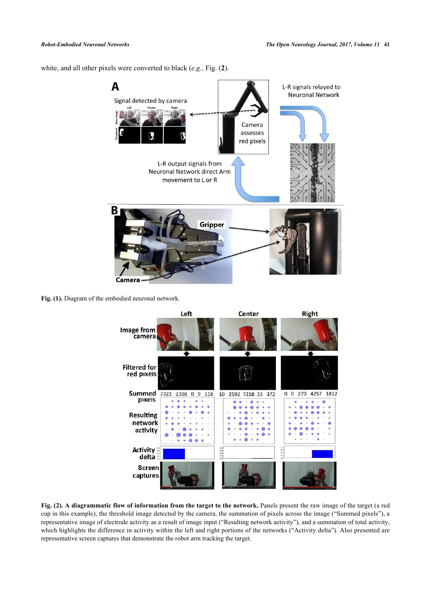<span id="page-2-0"></span>white, and all other pixels were converted to black (*e.g.,* Fig. (**[2](#page-2-1)**).



<span id="page-2-1"></span>Fig. (1). Diagram of the embodied neuronal network.



**Fig. (2). A diagrammatic flow of information from the target to the network.** Panels present the raw image of the target (a red cup in this example), the threshold image detected by the camera, the summation of pixels across the image ("Summed pixels"), a representative image of electrode activity as a result of image input ("Resulting network activity"), and a summation of total activity, which highlights the difference in activity within the left and right portions of the networks ("Activity delta"). Also presented are representative screen captures that demonstrate the robot arm tracking the target.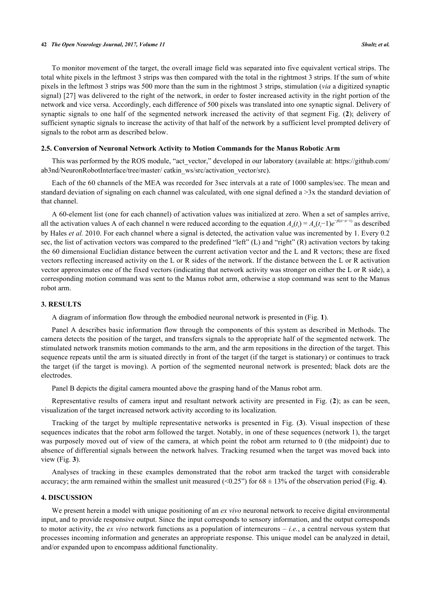To monitor movement of the target, the overall image field was separated into five equivalent vertical strips. The total white pixels in the leftmost 3 strips was then compared with the total in the rightmost 3 strips. If the sum of white pixels in the leftmost 3 strips was 500 more than the sum in the rightmost 3 strips, stimulation (*via* a digitized synaptic signal) [\[27](#page-7-10)] was delivered to the right of the network, in order to foster increased activity in the right portion of the network and vice versa. Accordingly, each difference of 500 pixels was translated into one synaptic signal. Delivery of synaptic signals to one half of the segmented network increased the activity of that segment Fig. (**[2](#page-2-1)**); delivery of sufficient synaptic signals to increase the activity of that half of the network by a sufficient level prompted delivery of signals to the robot arm as described below.

## **2.5. Conversion of Neuronal Network Activity to Motion Commands for the Manus Robotic Arm**

This was performed by the ROS module, "act\_vector," developed in our laboratory (available at: [https://github.com/](https://github.com/ab3nd/NeuronRobotInterface/tree/master/catkin_ws/src/activation_vector/src) [ab3nd/NeuronRobotInterface/tree/master/ catkin\\_ws/src/activation\\_vector/src](https://github.com/ab3nd/NeuronRobotInterface/tree/master/catkin_ws/src/activation_vector/src)).

Each of the 60 channels of the MEA was recorded for 3sec intervals at a rate of 1000 samples/sec. The mean and standard deviation of signaling on each channel was calculated, with one signal defined a >3x the standard deviation of that channel.

A 60-element list (one for each channel) of activation values was initialized at zero. When a set of samples arrive, all the activation values A of each channel n were reduced according to the equation  $A_n(t_i) = A_n(t_i-1)e^{-\beta(t_i-t_i-1)}$  as described by Hales *et al.* 2010. For each channel where a signal is detected, the activation value was incremented by 1. Every 0.2 sec, the list of activation vectors was compared to the predefined "left" (L) and "right" (R) activation vectors by taking the 60 dimensional Euclidian distance between the current activation vector and the L and R vectors; these are fixed vectors reflecting increased activity on the L or R sides of the network. If the distance between the L or R activation vector approximates one of the fixed vectors (indicating that network activity was stronger on either the L or R side), a corresponding motion command was sent to the Manus robot arm, otherwise a stop command was sent to the Manus robot arm.

## **3. RESULTS**

A diagram of information flow through the embodied neuronal network is presented in (Fig. **[1](#page-2-0)**).

Panel A describes basic information flow through the components of this system as described in Methods. The camera detects the position of the target, and transfers signals to the appropriate half of the segmented network. The stimulated network transmits motion commands to the arm, and the arm repositions in the direction of the target. This sequence repeats until the arm is situated directly in front of the target (if the target is stationary) or continues to track the target (if the target is moving). A portion of the segmented neuronal network is presented; black dots are the electrodes.

Panel B depicts the digital camera mounted above the grasping hand of the Manus robot arm.

Representative results of camera input and resultant network activity are presented in Fig. (**[2](#page-2-1)**); as can be seen, visualization of the target increased network activity according to its localization.

Tracking of the target by multiple representative networks is presented in Fig. (**[3](#page-3-0)**). Visual inspection of these sequences indicates that the robot arm followed the target. Notably, in one of these sequences (network 1), the target was purposely moved out of view of the camera, at which point the robot arm returned to 0 (the midpoint) due to absence of differential signals between the network halves. Tracking resumed when the target was moved back into view (Fig. **[3](#page-3-0)**).

Analyses of tracking in these examples demonstrated that the robot arm tracked the target with considerable accuracy; the arm remained within the smallest unit measured  $\langle 0.25 \rangle$  for  $68 \pm 13\%$  of the observation period (Fig. [4](#page-4-0)).

## **4. DISCUSSION**

<span id="page-3-0"></span>We present herein a model with unique positioning of an *ex vivo* neuronal network to receive digital environmental input, and to provide responsive output. Since the input corresponds to sensory information, and the output corresponds to motor activity, the *ex vivo* network functions as a population of interneurons – *i.e.*, a central nervous system that processes incoming information and generates an appropriate response. This unique model can be analyzed in detail, and/or expanded upon to encompass additional functionality.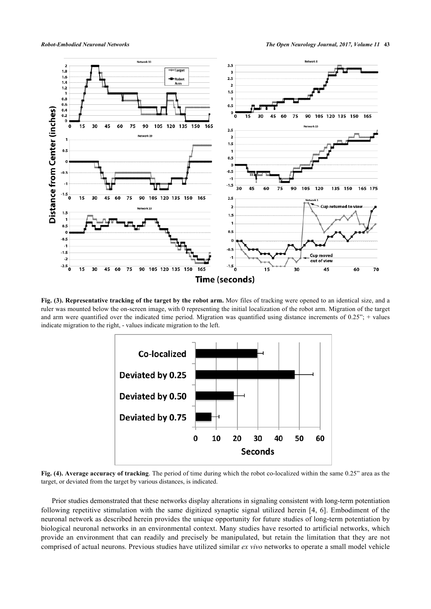

<span id="page-4-0"></span>**Fig. (3). Representative tracking of the target by the robot arm.** Mov files of tracking were opened to an identical size, and a ruler was mounted below the on-screen image, with 0 representing the initial localization of the robot arm. Migration of the target and arm were quantified over the indicated time period. Migration was quantified using distance increments of  $0.25$ "; + values indicate migration to the right, - values indicate migration to the left.



**Fig. (4). Average accuracy of tracking**. The period of time during which the robot co-localized within the same 0.25" area as the target, or deviated from the target by various distances, is indicated.

Prior studies demonstrated that these networks display alterations in signaling consistent with long-term potentiation following repetitive stimulation with the same digitized synaptic signal utilized herein [\[4,](#page-6-5) [6](#page-6-1)]. Embodiment of the neuronal network as described herein provides the unique opportunity for future studies of long-term potentiation by biological neuronal networks in an environmental context. Many studies have resorted to artificial networks, which provide an environment that can readily and precisely be manipulated, but retain the limitation that they are not comprised of actual neurons. Previous studies have utilized similar *ex vivo* networks to operate a small model vehicle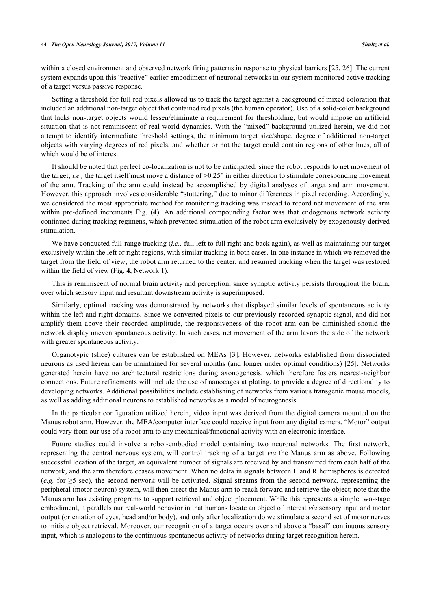#### **44** *The Open Neurology Journal, 2017, Volume 11 Shultz et al.*

within a closed environment and observed network firing patterns in response to physical barriers [[25,](#page-7-8) [26](#page-7-9)]. The current system expands upon this "reactive" earlier embodiment of neuronal networks in our system monitored active tracking of a target versus passive response.

Setting a threshold for full red pixels allowed us to track the target against a background of mixed coloration that included an additional non-target object that contained red pixels (the human operator). Use of a solid-color background that lacks non-target objects would lessen/eliminate a requirement for thresholding, but would impose an artificial situation that is not reminiscent of real-world dynamics. With the "mixed" background utilized herein, we did not attempt to identify intermediate threshold settings, the minimum target size/shape, degree of additional non-target objects with varying degrees of red pixels, and whether or not the target could contain regions of other hues, all of which would be of interest.

It should be noted that perfect co-localization is not to be anticipated, since the robot responds to net movement of the target; *i.e.,* the target itself must move a distance of >0.25" in either direction to stimulate corresponding movement of the arm. Tracking of the arm could instead be accomplished by digital analyses of target and arm movement. However, this approach involves considerable "stuttering," due to minor differences in pixel recording. Accordingly, we considered the most appropriate method for monitoring tracking was instead to record net movement of the arm within pre-defined increments Fig. (**[4](#page-4-0)**). An additional compounding factor was that endogenous network activity continued during tracking regimens, which prevented stimulation of the robot arm exclusively by exogenously-derived stimulation.

We have conducted full-range tracking (*i.e.,* full left to full right and back again), as well as maintaining our target exclusively within the left or right regions, with similar tracking in both cases. In one instance in which we removed the target from the field of view, the robot arm returned to the center, and resumed tracking when the target was restored within the field of view (Fig. **[4](#page-4-0)**, Network 1).

This is reminiscent of normal brain activity and perception, since synaptic activity persists throughout the brain, over which sensory input and resultant downstream activity is superimposed.

Similarly, optimal tracking was demonstrated by networks that displayed similar levels of spontaneous activity within the left and right domains. Since we converted pixels to our previously-recorded synaptic signal, and did not amplify them above their recorded amplitude, the responsiveness of the robot arm can be diminished should the network display uneven spontaneous activity. In such cases, net movement of the arm favors the side of the network with greater spontaneous activity.

Organotypic (slice) cultures can be established on MEAs [\[3\]](#page-6-3). However, networks established from dissociated neurons as used herein can be maintained for several months (and longer under optimal conditions) [[25\]](#page-7-8). Networks generated herein have no architectural restrictions during axonogenesis, which therefore fosters nearest-neighbor connections. Future refinements will include the use of nanocages at plating, to provide a degree of directionality to developing networks. Additional possibilities include establishing of networks from various transgenic mouse models, as well as adding additional neurons to established networks as a model of neurogenesis.

In the particular configuration utilized herein, video input was derived from the digital camera mounted on the Manus robot arm. However, the MEA/computer interface could receive input from any digital camera. "Motor" output could vary from our use of a robot arm to any mechanical/functional activity with an electronic interface.

Future studies could involve a robot-embodied model containing two neuronal networks. The first network, representing the central nervous system, will control tracking of a target *via* the Manus arm as above. Following successful location of the target, an equivalent number of signals are received by and transmitted from each half of the network, and the arm therefore ceases movement. When no delta in signals between L and R hemispheres is detected (*e.g.* for  $\geq$ 5 sec), the second network will be activated. Signal streams from the second network, representing the peripheral (motor neuron) system, will then direct the Manus arm to reach forward and retrieve the object; note that the Manus arm has existing programs to support retrieval and object placement. While this represents a simple two-stage embodiment, it parallels our real-world behavior in that humans locate an object of interest *via* sensory input and motor output (orientation of eyes, head and/or body), and only after localization do we stimulate a second set of motor nerves to initiate object retrieval. Moreover, our recognition of a target occurs over and above a "basal" continuous sensory input, which is analogous to the continuous spontaneous activity of networks during target recognition herein.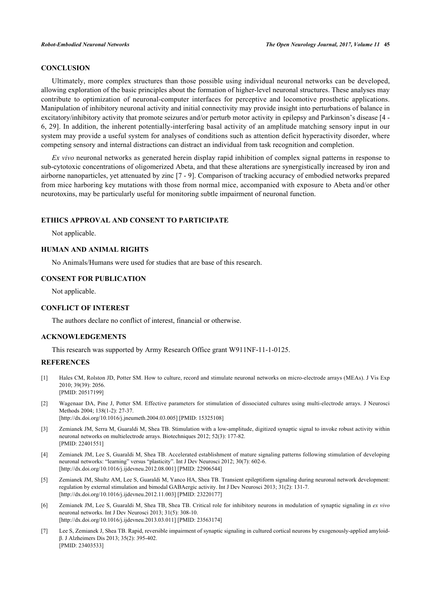# **CONCLUSION**

Ultimately, more complex structures than those possible using individual neuronal networks can be developed, allowing exploration of the basic principles about the formation of higher-level neuronal structures. These analyses may contribute to optimization of neuronal-computer interfaces for perceptive and locomotive prosthetic applications. Manipulation of inhibitory neuronal activity and initial connectivity may provide insight into perturbations of balance in excitatory/inhibitory activity that promote seizures and/or perturb motor activity in epilepsy and Parkinson's disease [[4](#page-6-5) - [6,](#page-6-1) [29\]](#page-8-0). In addition, the inherent potentially-interfering basal activity of an amplitude matching sensory input in our system may provide a useful system for analyses of conditions such as attention deficit hyperactivity disorder, where competing sensory and internal distractions can distract an individual from task recognition and completion.

*Ex vivo* neuronal networks as generated herein display rapid inhibition of complex signal patterns in response to sub-cytotoxic concentrations of oligomerized Abeta, and that these alterations are synergistically increased by iron and airborne nanoparticles, yet attenuated by zinc [\[7](#page-6-2) - [9\]](#page-7-0). Comparison of tracking accuracy of embodied networks prepared from mice harboring key mutations with those from normal mice, accompanied with exposure to Abeta and/or other neurotoxins, may be particularly useful for monitoring subtle impairment of neuronal function.

# **ETHICS APPROVAL AND CONSENT TO PARTICIPATE**

Not applicable.

# **HUMAN AND ANIMAL RIGHTS**

No Animals/Humans were used for studies that are base of this research.

## **CONSENT FOR PUBLICATION**

Not applicable.

# **CONFLICT OF INTEREST**

The authors declare no conflict of interest, financial or otherwise.

## **ACKNOWLEDGEMENTS**

This research was supported by Army Research Office grant W911NF-11-1-0125.

## **REFERENCES**

- <span id="page-6-0"></span>[1] Hales CM, Rolston JD, Potter SM. How to culture, record and stimulate neuronal networks on micro-electrode arrays (MEAs). J Vis Exp 2010; 39(39): 2056. [PMID: [20517199\]](http://www.ncbi.nlm.nih.gov/pubmed/20517199)
- <span id="page-6-4"></span>[2] Wagenaar DA, Pine J, Potter SM. Effective parameters for stimulation of dissociated cultures using multi-electrode arrays. J Neurosci Methods 2004; 138(1-2): 27-37. [\[http://dx.doi.org/10.1016/j.jneumeth.2004.03.005\]](http://dx.doi.org/10.1016/j.jneumeth.2004.03.005) [PMID: [15325108](http://www.ncbi.nlm.nih.gov/pubmed/15325108)]
- <span id="page-6-3"></span>[3] Zemianek JM, Serra M, Guaraldi M, Shea TB. Stimulation with a low-amplitude, digitized synaptic signal to invoke robust activity within neuronal networks on multielectrode arrays. Biotechniques 2012; 52(3): 177-82. [PMID: [22401551\]](http://www.ncbi.nlm.nih.gov/pubmed/22401551)
- <span id="page-6-5"></span>[4] Zemianek JM, Lee S, Guaraldi M, Shea TB. Accelerated establishment of mature signaling patterns following stimulation of developing neuronal networks: "learning" versus "plasticity". Int J Dev Neurosci 2012; 30(7): 602-6. [\[http://dx.doi.org/10.1016/j.ijdevneu.2012.08.001\]](http://dx.doi.org/10.1016/j.ijdevneu.2012.08.001) [PMID: [22906544](http://www.ncbi.nlm.nih.gov/pubmed/22906544)]
- [5] Zemianek JM, Shultz AM, Lee S, Guaraldi M, Yanco HA, Shea TB. Transient epileptiform signaling during neuronal network development: regulation by external stimulation and bimodal GABAergic activity. Int J Dev Neurosci 2013; 31(2): 131-7. [\[http://dx.doi.org/10.1016/j.ijdevneu.2012.11.003\]](http://dx.doi.org/10.1016/j.ijdevneu.2012.11.003) [PMID: [23220177](http://www.ncbi.nlm.nih.gov/pubmed/23220177)]
- <span id="page-6-1"></span>[6] Zemianek JM, Lee S, Guaraldi M, Shea TB, Shea TB. Critical role for inhibitory neurons in modulation of synaptic signaling in *ex vivo* neuronal networks. Int J Dev Neurosci 2013; 31(5): 308-10. [\[http://dx.doi.org/10.1016/j.ijdevneu.2013.03.011\]](http://dx.doi.org/10.1016/j.ijdevneu.2013.03.011) [PMID: [23563174](http://www.ncbi.nlm.nih.gov/pubmed/23563174)]
- <span id="page-6-2"></span>[7] Lee S, Zemianek J, Shea TB. Rapid, reversible impairment of synaptic signaling in cultured cortical neurons by exogenously-applied amyloidβ. J Alzheimers Dis 2013; 35(2): 395-402. [PMID: [23403533\]](http://www.ncbi.nlm.nih.gov/pubmed/23403533)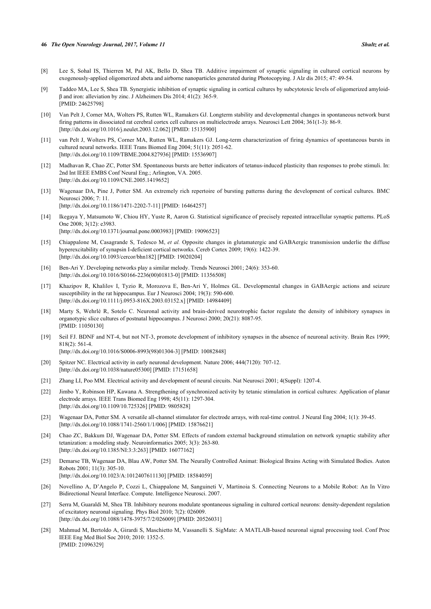#### **46** *The Open Neurology Journal, 2017, Volume 11 Shultz et al.*

- [8] Lee S, Sohal IS, Thierren M, Pal AK, Bello D, Shea TB. Additive impairment of synaptic signaling in cultured cortical neurons by exogenously-applied oligomerized abeta and airborne nanoparticles generated during Photocopying. J Alz dis 2015; 47: 49-54.
- <span id="page-7-0"></span>[9] Taddeo MA, Lee S, Shea TB. Synergistic inhibition of synaptic signaling in cortical cultures by subcytotoxic levels of oligomerized amyloidβ and iron: alleviation by zinc. J Alzheimers Dis 2014; 41(2): 365-9. [PMID: [24625798\]](http://www.ncbi.nlm.nih.gov/pubmed/24625798)
- <span id="page-7-1"></span>[10] Van Pelt J, Corner MA, Wolters PS, Rutten WL, Ramakers GJ. Longterm stability and developmental changes in spontaneous network burst firing patterns in dissociated rat cerebral cortex cell cultures on multielectrode arrays. Neurosci Lett 2004; 361(1-3): 86-9. [\[http://dx.doi.org/10.1016/j.neulet.2003.12.062\]](http://dx.doi.org/10.1016/j.neulet.2003.12.062) [PMID: [15135900](http://www.ncbi.nlm.nih.gov/pubmed/15135900)]
- [11] van Pelt J, Wolters PS, Corner MA, Rutten WL, Ramakers GJ. Long-term characterization of firing dynamics of spontaneous bursts in cultured neural networks. IEEE Trans Biomed Eng 2004; 51(11): 2051-62. [\[http://dx.doi.org/10.1109/TBME.2004.827936](http://dx.doi.org/10.1109/TBME.2004.827936)] [PMID: [15536907\]](http://www.ncbi.nlm.nih.gov/pubmed/15536907)
- <span id="page-7-5"></span>[12] Madhavan R, Chao ZC, Potter SM. Spontaneous bursts are better indicators of tetanus-induced plasticity than responses to probe stimuli. In: 2nd Int IEEE EMBS Conf Neural Eng.; Arlington, VA. 2005. [\[http://dx.doi.org/10.1109/CNE.2005.1419652\]](http://dx.doi.org/10.1109/CNE.2005.1419652)
- [13] Wagenaar DA, Pine J, Potter SM. An extremely rich repertoire of bursting patterns during the development of cortical cultures. BMC Neurosci 2006; 7: 11. [\[http://dx.doi.org/10.1186/1471-2202-7-11\]](http://dx.doi.org/10.1186/1471-2202-7-11) [PMID: [16464257](http://www.ncbi.nlm.nih.gov/pubmed/16464257)]
- [14] Ikegaya Y, Matsumoto W, Chiou HY, Yuste R, Aaron G. Statistical significance of precisely repeated intracellular synaptic patterns. PLoS One 2008; 3(12): e3983.
	- [\[http://dx.doi.org/10.1371/journal.pone.0003983](http://dx.doi.org/10.1371/journal.pone.0003983)] [PMID: [19096523\]](http://www.ncbi.nlm.nih.gov/pubmed/19096523)
- <span id="page-7-2"></span>[15] Chiappalone M, Casagrande S, Tedesco M, *et al.* Opposite changes in glutamatergic and GABAergic transmission underlie the diffuse hyperexcitability of synapsin I-deficient cortical networks. Cereb Cortex 2009; 19(6): 1422-39. [\[http://dx.doi.org/10.1093/cercor/bhn182](http://dx.doi.org/10.1093/cercor/bhn182)] [PMID: [19020204\]](http://www.ncbi.nlm.nih.gov/pubmed/19020204)
- <span id="page-7-3"></span>[16] Ben-Ari Y. Developing networks play a similar melody. Trends Neurosci 2001; 24(6): 353-60. [\[http://dx.doi.org/10.1016/S0166-2236\(00\)01813-0\]](http://dx.doi.org/10.1016/S0166-2236(00)01813-0) [PMID: [11356508](http://www.ncbi.nlm.nih.gov/pubmed/11356508)]
- [17] Khazipov R, Khalilov I, Tyzio R, Morozova E, Ben-Ari Y, Holmes GL. Developmental changes in GABAergic actions and seizure susceptibility in the rat hippocampus. Eur J Neurosci 2004; 19(3): 590-600. [\[http://dx.doi.org/10.1111/j.0953-816X.2003.03152.x](http://dx.doi.org/10.1111/j.0953-816X.2003.03152.x)] [PMID: [14984409](http://www.ncbi.nlm.nih.gov/pubmed/14984409)]
- [18] Marty S, Wehrlé R, Sotelo C. Neuronal activity and brain-derived neurotrophic factor regulate the density of inhibitory synapses in organotypic slice cultures of postnatal hippocampus. J Neurosci 2000; 20(21): 8087-95. [PMID: [11050130\]](http://www.ncbi.nlm.nih.gov/pubmed/11050130)
- [19] Seil FJ. BDNF and NT-4, but not NT-3, promote development of inhibitory synapses in the absence of neuronal activity. Brain Res 1999; 818(2): 561-4. [\[http://dx.doi.org/10.1016/S0006-8993\(98\)01304-3\]](http://dx.doi.org/10.1016/S0006-8993(98)01304-3) [PMID: [10082848](http://www.ncbi.nlm.nih.gov/pubmed/10082848)]
- [20] Spitzer NC. Electrical activity in early neuronal development. Nature 2006; 444(7120): 707-12. [\[http://dx.doi.org/10.1038/nature05300\]](http://dx.doi.org/10.1038/nature05300) [PMID: [17151658](http://www.ncbi.nlm.nih.gov/pubmed/17151658)]
- <span id="page-7-4"></span>[21] Zhang LI, Poo MM. Electrical activity and development of neural circuits. Nat Neurosci 2001; 4(Suppl): 1207-4.
- <span id="page-7-6"></span>[22] Jimbo Y, Robinson HP, Kawana A. Strengthening of synchronized activity by tetanic stimulation in cortical cultures: Application of planar electrode arrays. IEEE Trans Biomed Eng 1998; 45(11): 1297-304. [\[http://dx.doi.org/10.1109/10.725326\]](http://dx.doi.org/10.1109/10.725326) [PMID: [9805828](http://www.ncbi.nlm.nih.gov/pubmed/9805828)]
- [23] Wagenaar DA, Potter SM. A versatile all-channel stimulator for electrode arrays, with real-time control. J Neural Eng 2004; 1(1): 39-45. [\[http://dx.doi.org/10.1088/1741-2560/1/1/006](http://dx.doi.org/10.1088/1741-2560/1/1/006)] [PMID: [15876621\]](http://www.ncbi.nlm.nih.gov/pubmed/15876621)
- <span id="page-7-7"></span>[24] Chao ZC, Bakkum DJ, Wagenaar DA, Potter SM. Effects of random external background stimulation on network synaptic stability after tetanization: a modeling study. Neuroinformatics 2005; 3(3): 263-80. [\[http://dx.doi.org/10.1385/NI:3:3:263\]](http://dx.doi.org/10.1385/NI:3:3:263) [PMID: [16077162](http://www.ncbi.nlm.nih.gov/pubmed/16077162)]
- <span id="page-7-8"></span>[25] Demarse TB, Wagenaar DA, Blau AW, Potter SM. The Neurally Controlled Animat: Biological Brains Acting with Simulated Bodies. Auton Robots 2001; 11(3): 305-10. [\[http://dx.doi.org/10.1023/A:1012407611130\]](http://dx.doi.org/10.1023/A:1012407611130) [PMID: [18584059](http://www.ncbi.nlm.nih.gov/pubmed/18584059)]
- <span id="page-7-9"></span>[26] Novellino A, D'Angelo P, Cozzi L, Chiappalone M, Sanguineti V, Martinoia S. Connecting Neurons to a Mobile Robot: An In Vitro Bidirectional Neural Interface. Compute. Intelligence Neurosci. 2007.
- <span id="page-7-10"></span>[27] Serra M, Guaraldi M, Shea TB. Inhibitory neurons modulate spontaneous signaling in cultured cortical neurons: density-dependent regulation of excitatory neuronal signaling. Phys Biol 2010; 7(2): 026009. [\[http://dx.doi.org/10.1088/1478-3975/7/2/026009](http://dx.doi.org/10.1088/1478-3975/7/2/026009)] [PMID: [20526031\]](http://www.ncbi.nlm.nih.gov/pubmed/20526031)
- <span id="page-7-11"></span>[28] Mahmud M, Bertoldo A, Girardi S, Maschietto M, Vassanelli S. SigMate: A MATLAB-based neuronal signal processing tool. Conf Proc IEEE Eng Med Biol Soc 2010; 2010: 1352-5. [PMID: [21096329\]](http://www.ncbi.nlm.nih.gov/pubmed/21096329)